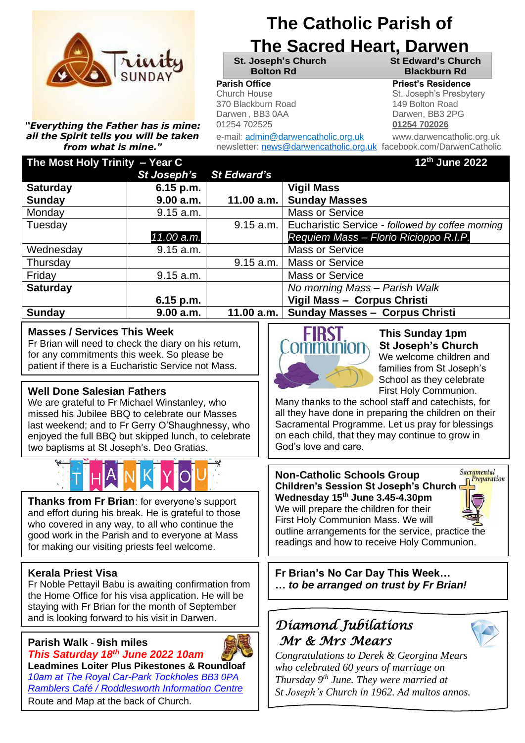

*"Everything the Father has is mine: all the Spirit tells you will be taken from what is mine."*

# **The Catholic Parish of**

# **The Sacred Heart, Darwen**

**St. Joseph's Church St Edward's Church Bolton Rd Blackburn Rd**

370 Blackburn Road 149 Bolton Road Darwen , BB3 0AA Darwen, BB3 2PG 01254 702525 **01254 702026**

e-mail: admin@darwencatholic.org.uk www.darwencatholic.org.uk newsletter: [news@darwencatholic.org.uk](mailto:news@darwencatholic.org.uk) facebook.com/DarwenCatholic

#### **Parish Office Parish Office Priest's Residence**

Church House **Realist Friest Contact St. Joseph's Presbytery** 

| The Most Holy Trinity - Year C                                                                                                                                                                                                                                                                                                                                                                                                                                                                    |             |                    |  | 12th June 2022                                                                                                                                                                                                                                                                                                                                                                                                   |
|---------------------------------------------------------------------------------------------------------------------------------------------------------------------------------------------------------------------------------------------------------------------------------------------------------------------------------------------------------------------------------------------------------------------------------------------------------------------------------------------------|-------------|--------------------|--|------------------------------------------------------------------------------------------------------------------------------------------------------------------------------------------------------------------------------------------------------------------------------------------------------------------------------------------------------------------------------------------------------------------|
|                                                                                                                                                                                                                                                                                                                                                                                                                                                                                                   | St Joseph's | <b>St Edward's</b> |  |                                                                                                                                                                                                                                                                                                                                                                                                                  |
| <b>Saturday</b>                                                                                                                                                                                                                                                                                                                                                                                                                                                                                   | 6.15 p.m.   |                    |  | <b>Vigil Mass</b>                                                                                                                                                                                                                                                                                                                                                                                                |
| <b>Sunday</b>                                                                                                                                                                                                                                                                                                                                                                                                                                                                                     | 9.00 a.m.   | 11.00 a.m.         |  | <b>Sunday Masses</b>                                                                                                                                                                                                                                                                                                                                                                                             |
| Monday                                                                                                                                                                                                                                                                                                                                                                                                                                                                                            | 9.15 a.m.   |                    |  | <b>Mass or Service</b>                                                                                                                                                                                                                                                                                                                                                                                           |
| Tuesday                                                                                                                                                                                                                                                                                                                                                                                                                                                                                           |             | 9.15 a.m.          |  | Eucharistic Service - followed by coffee morning                                                                                                                                                                                                                                                                                                                                                                 |
|                                                                                                                                                                                                                                                                                                                                                                                                                                                                                                   | 11.00 a.m.  |                    |  | Requiem Mass - Florio Ricioppo R.I.P.                                                                                                                                                                                                                                                                                                                                                                            |
| Wednesday                                                                                                                                                                                                                                                                                                                                                                                                                                                                                         | 9.15 a.m.   |                    |  | <b>Mass or Service</b>                                                                                                                                                                                                                                                                                                                                                                                           |
| Thursday                                                                                                                                                                                                                                                                                                                                                                                                                                                                                          |             | 9.15 a.m.          |  | <b>Mass or Service</b>                                                                                                                                                                                                                                                                                                                                                                                           |
| Friday                                                                                                                                                                                                                                                                                                                                                                                                                                                                                            | 9.15 a.m.   |                    |  | <b>Mass or Service</b>                                                                                                                                                                                                                                                                                                                                                                                           |
| <b>Saturday</b>                                                                                                                                                                                                                                                                                                                                                                                                                                                                                   |             |                    |  | No morning Mass - Parish Walk                                                                                                                                                                                                                                                                                                                                                                                    |
|                                                                                                                                                                                                                                                                                                                                                                                                                                                                                                   | 6.15 p.m.   |                    |  | Vigil Mass - Corpus Christi                                                                                                                                                                                                                                                                                                                                                                                      |
| <b>Sunday</b>                                                                                                                                                                                                                                                                                                                                                                                                                                                                                     | 9.00 a.m.   | 11.00 a.m.         |  | Sunday Masses - Corpus Christi                                                                                                                                                                                                                                                                                                                                                                                   |
| <b>Masses / Services This Week</b><br>Fr Brian will need to check the diary on his return,<br>for any commitments this week. So please be<br>patient if there is a Eucharistic Service not Mass.<br><b>Well Done Salesian Fathers</b><br>We are grateful to Fr Michael Winstanley, who<br>missed his Jubilee BBQ to celebrate our Masses<br>last weekend; and to Fr Gerry O'Shaughnessy, who<br>enjoyed the full BBQ but skipped lunch, to celebrate<br>two baptisms at St Joseph's. Deo Gratias. |             |                    |  | <b>This Sunday 1pm</b><br><b>St Joseph's Church</b><br>We welcome children and<br>families from St Joseph's<br>School as they celebrate<br>First Holy Communion.<br>Many thanks to the school staff and catechists, for<br>all they have done in preparing the children on their<br>Sacramental Programme. Let us pray for blessings<br>on each child, that they may continue to grow in<br>God's love and care. |
| Thanks from Fr Brian: for everyone's support<br>and effort during his break. He is grateful to those<br>who covered in any way, to all who continue the<br>good work in the Parish and to everyone at Mass<br>for making our visiting priests feel welcome.                                                                                                                                                                                                                                       |             |                    |  | Sacramental<br><b>Non-Catholic Schools Group</b><br><b>Preparation</b><br><b>Children's Session St Joseph's Church</b><br>Wednesday 15 <sup>th</sup> June 3.45-4.30pm<br>We will prepare the children for their<br>First Holy Communion Mass. We will<br>outline arrangements for the service, practice the<br>readings and how to receive Holy Communion.                                                       |

#### **Kerala Priest Visa**

Darwen.

Fr Noble Pettayil Babu is awaiting confirmation from the Home Office for his visa application. He will be staying with Fr Brian for the month of September and is looking forward to his visit in Darwen.

#### **Parish Walk** - **9ish miles**



*This Saturday 18th June 2022 10am* **Leadmines Loiter Plus Pikestones & Roundloaf** *10am at The Royal Car-Park Tockholes BB3 0PA Ramblers Café / Roddlesworth Information Centre* Route and Map at the back of Church.

# *Diamond Jubilations Mr & Mrs Mears*

**Fr Brian's No Car Day This Week… …** *to be arranged on trust by Fr Brian!*



*Congratulations to Derek & Georgina Mears who celebrated 60 years of marriage on Thursday 9 th June. They were married at St Joseph's Church in 1962. Ad multos annos.*